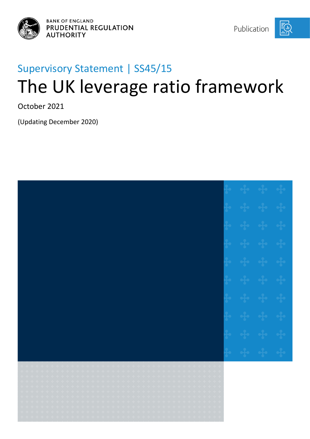



# Supervisory Statement | SS45/15 The UK leverage ratio framework

October 2021

(Updating December 2020)

| $\frac{1}{2}$ , $\frac{1}{2}$ , $\frac{1}{2}$ , $\frac{1}{2}$ , $\frac{1}{2}$ , $\frac{1}{2}$<br>$\begin{array}{ccccccccccccc} \ast & \ast & \ast & \ast & \ast & \ast \end{array}$                                                                                                                                                                                                                                                                                                                                                                                                                                                                                                                                                                                                                                                                                                                                                                                                                                                                                                                                                                                                                                                                                                                                                                                                                                                                                                                                                                                                              |  |  |
|--------------------------------------------------------------------------------------------------------------------------------------------------------------------------------------------------------------------------------------------------------------------------------------------------------------------------------------------------------------------------------------------------------------------------------------------------------------------------------------------------------------------------------------------------------------------------------------------------------------------------------------------------------------------------------------------------------------------------------------------------------------------------------------------------------------------------------------------------------------------------------------------------------------------------------------------------------------------------------------------------------------------------------------------------------------------------------------------------------------------------------------------------------------------------------------------------------------------------------------------------------------------------------------------------------------------------------------------------------------------------------------------------------------------------------------------------------------------------------------------------------------------------------------------------------------------------------------------------|--|--|
| $\frac{1}{4}$ , $\frac{1}{4}$ , $\frac{1}{4}$ , $\frac{1}{4}$ ,<br>$\label{eq:4} \begin{array}{ll} \alpha_{1}=\frac{1}{2} \alpha_{1}-\frac{1}{2} \alpha_{2}-\frac{1}{2} \alpha_{3}-\frac{1}{2} \alpha_{4}\\ \end{array}$<br>$\label{eq:4} \begin{array}{ll} \alpha_1^2\alpha_1^2+\alpha_2^2\alpha_2^2+\alpha_3^2\alpha_3^2+\alpha_4^2\alpha_4^2+\alpha_5^2\alpha_5^2+\alpha_6^2\alpha_6^2+\alpha_7^2\alpha_6^2+\alpha_7^2\alpha_7^2+\alpha_7^2\alpha_7^2+\alpha_7^2\alpha_7^2+\alpha_7^2\alpha_7^2+\alpha_7^2\alpha_7^2+\alpha_7^2\alpha_7^2+\alpha_7^2\alpha_7^2+\alpha_7^2\alpha_7^2+\alpha_7^2\alpha_7^2+\alpha_7^2\alpha_7^2+\alpha$<br>$+ + + + +$<br>$\begin{bmatrix} 1 & -\frac{1}{2} \mathbf{1} & -\frac{1}{2} \mathbf{1} & -\frac{1}{2} \mathbf{1} & -\frac{1}{2} \mathbf{1} \end{bmatrix}$<br>$\label{eq:3.1} \mathcal{E}=\frac{1}{2}\mathcal{E}=\frac{1}{2}\mathcal{E}=\frac{1}{2}\mathcal{E}=\frac{1}{2}\mathcal{E}=\frac{1}{2}\mathcal{E}=\frac{1}{2}\mathcal{E}$<br>$\label{eq:3.1} \begin{array}{ll} \mathbb{E}\left[\left\{ \mathbf{1}_{\mathbf{1}_{\mathbf{1}_{\mathbf{1}_{\mathbf{1}_{\mathbf{1}}}}}}\right.\left\{ \mathbf{1}_{\mathbf{1}_{\mathbf{1}_{\mathbf{1}}}}\right.\left\{ \mathbf{1}_{\mathbf{1}_{\mathbf{1}_{\mathbf{1}}}}\right.\left\{ \mathbf{1}_{\mathbf{1}_{\mathbf{1}_{\mathbf{1}}}}\right.\left\{ \mathbf{1}_{\mathbf{1}_{\mathbf{1}_{\mathbf{1}}}}\right.\left\{ \mathbf{1}_{\mathbf{1}_{\mathbf{1}_{\mathbf{1}}}}$<br>$\label{eq:3.1} \epsilon = \epsilon_1^2 \epsilon = \epsilon_1^2 \epsilon = \epsilon_1^2 \epsilon = \epsilon_1^2 \epsilon = \epsilon$ |  |  |
| $\mathcal{A}_\mathcal{D}$ , and $\mathcal{A}_\mathcal{D}$<br>$\begin{array}{cccccccccc} -\frac{1}{4}\epsilon & -\frac{1}{4}\epsilon & -\frac{1}{4}\epsilon & -\frac{1}{4}\epsilon & -\frac{1}{4}\epsilon \end{array}$<br>be de circular e<br>$\left\langle \left( \frac{1}{2} \hat{a} - \frac{1}{2} \hat{a} - \frac{1}{2} \hat{a} - \frac{1}{2} \hat{a} - \frac{1}{2} \hat{a} - \frac{1}{2} \hat{a} \right) \right\rangle$<br>$\label{eq:3.1} \left(\begin{array}{cc} \dot{z}_1^T\dot{z}_1 & \dot{z}_1^T\dot{z}_2 & \dot{z}_2^T\dot{z}_2 & \dot{z}_2^T\dot{z}_2 & \dot{z}_3^T\dot{z}_3 \end{array}\right)$<br>$\left\langle \phi_{\rm L}^{\rm L} - \phi_{\rm L}^{\rm L} \right\rangle \left\langle \phi_{\rm L}^{\rm L} - \phi_{\rm L}^{\rm L} \right\rangle \left\langle \phi_{\rm L}^{\rm L} \right\rangle$<br>$\label{eq:3.1} \begin{array}{lllllllllllll} \alpha & \alpha \frac{1}{2} \alpha & \alpha \frac{1}{2} \alpha & \alpha \frac{1}{2} \alpha & \alpha \frac{1}{2} \alpha & \alpha \frac{1}{2} \alpha \end{array}$                                                                                                                                                                                                                                                                                                                                                                                                                                                                                                                                                                    |  |  |
| $\begin{array}{ccccccccc} \alpha_1 & \alpha_2 & \alpha_3 & \alpha_4 & \alpha_5 \end{array}$<br>$\begin{array}{cccccc} \mathbf{q} & \mathbf{q} & \mathbf{q} & \mathbf{q} & \mathbf{q} & \mathbf{q} \end{array}$<br>$\label{eq:3} \begin{split} \mathcal{C}_{\mathcal{A}}(\mathcal{A}_{\mathcal{B}}) = \mathcal{A}_{\mathcal{B}}(\mathcal{A}_{\mathcal{B}}) \end{split}$<br>.<br>.<br>$\left\langle \left( \frac{1}{2} \right) \right\rangle = \left\{ \left( \left( -\frac{1}{2} \right) \right) \right\} = \left\{ \left( \frac{1}{2} \right) \right\}$                                                                                                                                                                                                                                                                                                                                                                                                                                                                                                                                                                                                                                                                                                                                                                                                                                                                                                                                                                                                                                          |  |  |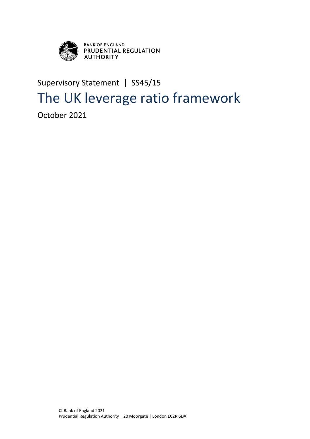

**BANK OF ENGLAND<br>PRUDENTIAL REGULATION<br>AUTHORITY** 

## Supervisory Statement | SS45/15 The UK leverage ratio framework

October 2021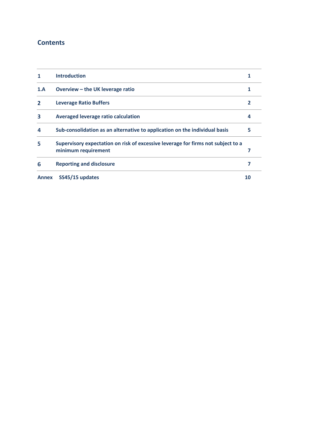## **Contents**

| 1                       | <b>Introduction</b>                                                              |    |  |
|-------------------------|----------------------------------------------------------------------------------|----|--|
| 1.A                     | Overview $-$ the UK leverage ratio                                               |    |  |
| $\overline{\mathbf{2}}$ | <b>Leverage Ratio Buffers</b>                                                    | 2  |  |
| 3                       | Averaged leverage ratio calculation                                              | 4  |  |
| 4                       | Sub-consolidation as an alternative to application on the individual basis       | 5  |  |
| 5                       | Supervisory expectation on risk of excessive leverage for firms not subject to a |    |  |
|                         | minimum requirement                                                              | 7  |  |
| 6                       | <b>Reporting and disclosure</b>                                                  |    |  |
| <b>Annex</b>            | SS45/15 updates                                                                  | 10 |  |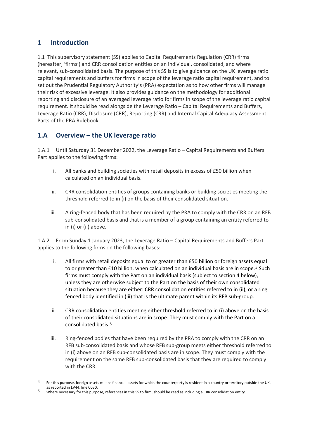#### <span id="page-4-0"></span> $\mathbf{1}$ **Introduction**

1.1 This supervisory statement (SS) applies to Capital Requirements Regulation (CRR) firms (hereafter, 'firms') and CRR consolidation entities on an individual, consolidated, and where relevant, sub-consolidated basis. The purpose of this SS is to give guidance on the UK leverage ratio capital requirements and buffers for firms in scope of the leverage ratio capital requirement, and to set out the Prudential Regulatory Authority's (PRA) expectation as to how other firms will manage their risk of excessive leverage. It also provides guidance on the methodology for additional reporting and disclosure of an averaged leverage ratio for firms in scope of the leverage ratio capital requirement. It should be read alongside the Leverage Ratio – Capital Requirements and Buffers, Leverage Ratio (CRR), Disclosure (CRR), Reporting (CRR) and Internal Capital Adequacy Assessment Parts of the PRA Rulebook.

## <span id="page-4-1"></span>**1.A Overview – the UK leverage ratio**

1.A.1 Until Saturday 31 December 2022, the Leverage Ratio – Capital Requirements and Buffers Part applies to the following firms:

- i. All banks and building societies with retail deposits in excess of £50 billion when calculated on an individual basis.
- ii. CRR consolidation entities of groups containing banks or building societies meeting the threshold referred to in (i) on the basis of their consolidated situation.
- iii. A ring-fenced body that has been required by the PRA to comply with the CRR on an RFB sub-consolidated basis and that is a member of a group containing an entity referred to in (i) or (ii) above.

1.A.2 From Sunday 1 January 2023, the Leverage Ratio – Capital Requirements and Buffers Part applies to the following firms on the following bases:

- i. All firms with retail deposits equal to or greater than £50 billion or foreign assets equal to or greater than  $£10$  billion, when calculated on an individual basis are in scope.<sup>4</sup> Such firms must comply with the Part on an individual basis (subject to section 4 below), unless they are otherwise subject to the Part on the basis of their own consolidated situation because they are either: CRR consolidation entities referred to in (ii); or a ring fenced body identified in (iii) that is the ultimate parent within its RFB sub-group.
- ii. CRR consolidation entities meeting either threshold referred to in (i) above on the basis of their consolidated situations are in scope. They must comply with the Part on a consolidated basis.5
- iii. Ring-fenced bodies that have been required by the PRA to comply with the CRR on an RFB sub-consolidated basis and whose RFB sub-group meets either threshold referred to in (i) above on an RFB sub-consolidated basis are in scope. They must comply with the requirement on the same RFB sub-consolidated basis that they are required to comply with the CRR.

5 Where necessary for this purpose, references in this SS to firm, should be read as including a CRR consolidation entity.

 $4$  For this purpose, foreign assets means financial assets for which the counterparty is resident in a country or territory outside the UK, as reported in LV44, line 0050.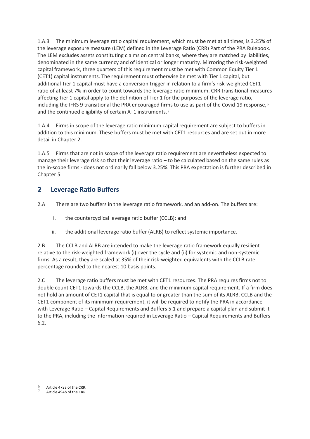1.A.3 The minimum leverage ratio capital requirement, which must be met at all times, is 3.25% of the leverage exposure measure (LEM) defined in the Leverage Ratio (CRR) Part of the PRA Rulebook. The LEM excludes assets constituting claims on central banks, where they are matched by liabilities, denominated in the same currency and of identical or longer maturity. Mirroring the risk-weighted capital framework, three quarters of this requirement must be met with Common Equity Tier 1 (CET1) capital instruments. The requirement must otherwise be met with Tier 1 capital, but additional Tier 1 capital must have a conversion trigger in relation to a firm's risk-weighted CET1 ratio of at least 7% in order to count towards the leverage ratio minimum. CRR transitional measures affecting Tier 1 capital apply to the definition of Tier 1 for the purposes of the leverage ratio, including the IFRS 9 transitional the PRA encouraged firms to use as part of the Covid-19 response,  $6$ and the continued eligibility of certain AT1 instruments.7

1.A.4 Firms in scope of the leverage ratio minimum capital requirement are subject to buffers in addition to this minimum. These buffers must be met with CET1 resources and are set out in more detail in Chapter 2.

1.A.5 Firms that are not in scope of the leverage ratio requirement are nevertheless expected to manage their leverage risk so that their leverage ratio – to be calculated based on the same rules as the in-scope firms - does not ordinarily fall below 3.25%. This PRA expectation is further described in Chapter 5.

#### <span id="page-5-0"></span> $\overline{2}$ **Leverage Ratio Buffers**

2.A There are two buffers in the leverage ratio framework, and an add-on. The buffers are:

- i. the countercyclical leverage ratio buffer (CCLB); and
- ii. the additional leverage ratio buffer (ALRB) to reflect systemic importance.

2.B The CCLB and ALRB are intended to make the leverage ratio framework equally resilient relative to the risk-weighted framework (i) over the cycle and (ii) for systemic and non-systemic firms. As a result, they are scaled at 35% of their risk-weighted equivalents with the CCLB rate percentage rounded to the nearest 10 basis points.

2.C The leverage ratio buffers must be met with CET1 resources. The PRA requires firms not to double count CET1 towards the CCLB, the ALRB, and the minimum capital requirement. If a firm does not hold an amount of CET1 capital that is equal to or greater than the sum of its ALRB, CCLB and the CET1 component of its minimum requirement, it will be required to notify the PRA in accordance with Leverage Ratio – Capital Requirements and Buffers 5.1 and prepare a capital plan and submit it to the PRA, including the information required in Leverage Ratio – Capital Requirements and Buffers 6.2.

<sup>6</sup> Article 473a of the CRR.

Article 494b of the CRR.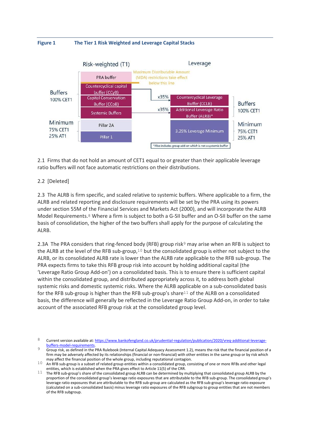



2.1 Firms that do not hold an amount of CET1 equal to or greater than their applicable leverage ratio buffers will not face automatic restrictions on their distributions.

### 2.2 [Deleted]

2.3 The ALRB is firm specific, and scaled relative to systemic buffers. Where applicable to a firm, the ALRB and related reporting and disclosure requirements will be set by the PRA using its powers under section 55M of the Financial Services and Markets Act (2000), and will incorporate the ALRB Model Requirements.8 Where a firm is subject to both a G-SII buffer and an O-SII buffer on the same basis of consolidation, the higher of the two buffers shall apply for the purpose of calculating the ALRB.

2.3A The PRA considers that ring-fenced body (RFB) group risk<sup>9</sup> may arise when an RFB is subject to the ALRB at the level of the RFB sub-group,10 but the consolidated group is either not subject to the ALRB, or its consolidated ALRB rate is lower than the ALRB rate applicable to the RFB sub-group. The PRA expects firms to take this RFB group risk into account by holding additional capital (the 'Leverage Ratio Group Add-on') on a consolidated basis. This is to ensure there is sufficient capital within the consolidated group, and distributed appropriately across it, to address both global systemic risks and domestic systemic risks. Where the ALRB applicable on a sub-consolidated basis for the RFB sub-group is higher than the RFB sub-group's share11 of the ALRB on a consolidated basis, the difference will generally be reflected in the Leverage Ratio Group Add-on, in order to take account of the associated RFB group risk at the consolidated group level.

<sup>8</sup> Current version available at[: https://www.bankofengland.co.uk/prudential-regulation/publication/2020/vreq-additional-leverage](https://www.bankofengland.co.uk/prudential-regulation/publication/2020/vreq-additional-leverage-buffers-model-requirements)[buffers-model-requirements.](https://www.bankofengland.co.uk/prudential-regulation/publication/2020/vreq-additional-leverage-buffers-model-requirements)

<sup>9</sup> Group risk, as defined in the PRA Rulebook (Internal Capital Adequacy Assessment 1.2), means the risk that the financial position of a firm may be adversely affected by its relationships (financial or non-financial) with other entities in the same group or by risk which may affect the financial position of the whole group, including reputational contagion.

<sup>10</sup> An RFB sub-group is a subset of related group entities within a consolidated group, consisting of one or more RFBs and other legal entities, which is established when the PRA gives effect to Article 11(5) of the CRR.

<sup>11</sup> The RFB sub-group's share of the consolidated group ALRB can be determined by multiplying that consolidated group ALRB by the proportion of the consolidated group's leverage ratio exposures that are attributable to the RFB sub-group. The consolidated group's leverage ratio exposures that are attributable to the RFB sub-group are calculated as the RFB sub-group's leverage ratio exposure (calculated on a sub-consolidated basis) minus leverage ratio exposures of the RFB subgroup to group entities that are not members of the RFB subgroup.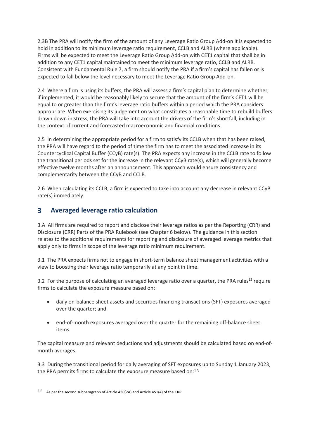2.3B The PRA will notify the firm of the amount of any Leverage Ratio Group Add-on it is expected to hold in addition to its minimum leverage ratio requirement, CCLB and ALRB (where applicable). Firms will be expected to meet the Leverage Ratio Group Add-on with CET1 capital that shall be in addition to any CET1 capital maintained to meet the minimum leverage ratio, CCLB and ALRB. Consistent with Fundamental Rule 7, a firm should notify the PRA if a firm's capital has fallen or is expected to fall below the level necessary to meet the Leverage Ratio Group Add-on.

2.4 Where a firm is using its buffers, the PRA will assess a firm's capital plan to determine whether, if implemented, it would be reasonably likely to secure that the amount of the firm's CET1 will be equal to or greater than the firm's leverage ratio buffers within a period which the PRA considers appropriate. When exercising its judgement on what constitutes a reasonable time to rebuild buffers drawn down in stress, the PRA will take into account the drivers of the firm's shortfall, including in the context of current and forecasted macroeconomic and financial conditions.

2.5 In determining the appropriate period for a firm to satisfy its CCLB when that has been raised, the PRA will have regard to the period of time the firm has to meet the associated increase in its Countercyclical Capital Buffer (CCyB) rate(s). The PRA expects any increase in the CCLB rate to follow the transitional periods set for the increase in the relevant CCyB rate(s), which will generally become effective twelve months after an announcement. This approach would ensure consistency and complementarity between the CCyB and CCLB.

2.6 When calculating its CCLB, a firm is expected to take into account any decrease in relevant CCyB rate(s) immediately.

#### <span id="page-7-0"></span> $\overline{\mathbf{3}}$ **Averaged leverage ratio calculation**

3.A All firms are required to report and disclose their leverage ratios as per the Reporting (CRR) and Disclosure (CRR) Parts of the PRA Rulebook (see Chapter 6 below). The guidance in this section relates to the additional requirements for reporting and disclosure of averaged leverage metrics that apply only to firms in scope of the leverage ratio minimum requirement.

3.1 The PRA expects firms not to engage in short-term balance sheet management activities with a view to boosting their leverage ratio temporarily at any point in time.

3.2 For the purpose of calculating an averaged leverage ratio over a quarter, the PRA rules<sup>12</sup> require firms to calculate the exposure measure based on:

- daily on-balance sheet assets and securities financing transactions (SFT) exposures averaged over the quarter; and
- end-of-month exposures averaged over the quarter for the remaining off-balance sheet items.

The capital measure and relevant deductions and adjustments should be calculated based on end-ofmonth averages.

3.3 During the transitional period for daily averaging of SFT exposures up to Sunday 1 January 2023, the PRA permits firms to calculate the exposure measure based on:13

 $12$  As per the second subparagraph of Article 430(2A) and Article 451(4) of the CRR.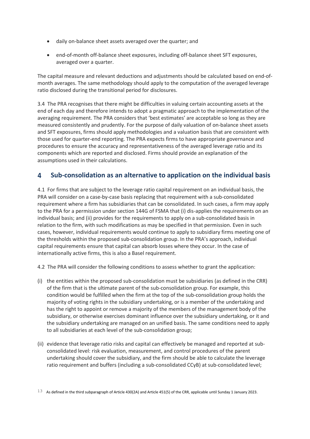- daily on-balance sheet assets averaged over the quarter; and
- end-of-month off-balance sheet exposures, including off-balance sheet SFT exposures, averaged over a quarter.

The capital measure and relevant deductions and adjustments should be calculated based on end-ofmonth averages. The same methodology should apply to the computation of the averaged leverage ratio disclosed during the transitional period for disclosures.

3.4 The PRA recognises that there might be difficulties in valuing certain accounting assets at the end of each day and therefore intends to adopt a pragmatic approach to the implementation of the averaging requirement. The PRA considers that 'best estimates' are acceptable so long as they are measured consistently and prudently. For the purpose of daily valuation of on-balance sheet assets and SFT exposures, firms should apply methodologies and a valuation basis that are consistent with those used for quarter-end reporting. The PRA expects firms to have appropriate governance and procedures to ensure the accuracy and representativeness of the averaged leverage ratio and its components which are reported and disclosed. Firms should provide an explanation of the assumptions used in their calculations.

#### <span id="page-8-0"></span> $\blacktriangle$ **Sub-consolidation as an alternative to application on the individual basis**

4.1 For firms that are subject to the leverage ratio capital requirement on an individual basis, the PRA will consider on a case-by-case basis replacing that requirement with a sub-consolidated requirement where a firm has subsidiaries that can be consolidated. In such cases, a firm may apply to the PRA for a permission under section 144G of FSMA that (i) dis-applies the requirements on an individual basis; and (ii) provides for the requirements to apply on a sub-consolidated basis in relation to the firm, with such modifications as may be specified in that permission. Even in such cases, however, individual requirements would continue to apply to subsidiary firms meeting one of the thresholds within the proposed sub-consolidation group. In the PRA's approach, individual capital requirements ensure that capital can absorb losses where they occur. In the case of internationally active firms, this is also a Basel requirement.

4.2 The PRA will consider the following conditions to assess whether to grant the application:

- (i) the entities within the proposed sub-consolidation must be subsidiaries (as defined in the CRR) of the firm that is the ultimate parent of the sub-consolidation group. For example, this condition would be fulfilled when the firm at the top of the sub-consolidation group holds the majority of voting rights in the subsidiary undertaking, or is a member of the undertaking and has the right to appoint or remove a majority of the members of the management body of the subsidiary, or otherwise exercises dominant influence over the subsidiary undertaking, or it and the subsidiary undertaking are managed on an unified basis. The same conditions need to apply to all subsidiaries at each level of the sub-consolidation group;
- (ii) evidence that leverage ratio risks and capital can effectively be managed and reported at subconsolidated level: risk evaluation, measurement, and control procedures of the parent undertaking should cover the subsidiary, and the firm should be able to calculate the leverage ratio requirement and buffers (including a sub-consolidated CCyB) at sub-consolidated level;

<sup>13</sup> As defined in the third subparagraph of Article 430(2A) and Article 451(5) of the CRR, applicable until Sunday 1 January 2023.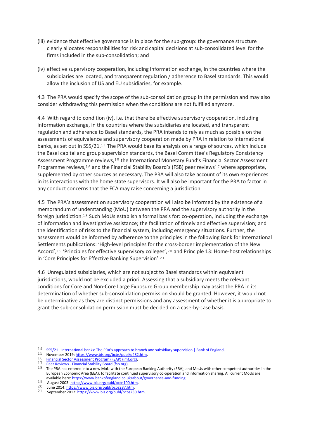- (iii) evidence that effective governance is in place for the sub-group: the governance structure clearly allocates responsibilities for risk and capital decisions at sub-consolidated level for the firms included in the sub-consolidation; and
- (iv) effective supervisory cooperation, including information exchange, in the countries where the subsidiaries are located, and transparent regulation / adherence to Basel standards. This would allow the inclusion of US and EU subsidiaries, for example.

4.3 The PRA would specify the scope of the sub-consolidation group in the permission and may also consider withdrawing this permission when the conditions are not fulfilled anymore.

4.4 With regard to condition (iv), i.e. that there be effective supervisory cooperation, including information exchange, in the countries where the subsidiaries are located, and transparent regulation and adherence to Basel standards, the PRA intends to rely as much as possible on the assessments of equivalence and supervisory cooperation made by PRA in relation to international banks, as set out in SS5/21.14 The PRA would base its analysis on a range of sources, which include the Basel capital and group supervision standards, the Basel Committee's Regulatory Consistency Assessment Programme reviews,<sup>15</sup> the International Monetary Fund's Financial Sector Assessment Programme reviews,<sup>16</sup> and the Financial Stability Board's (FSB) peer reviews<sup>17</sup> where appropriate, supplemented by other sources as necessary. The PRA will also take account of its own experiences in its interactions with the home state supervisors. It will also be important for the PRA to factor in any conduct concerns that the FCA may raise concerning a jurisdiction.

4.5 The PRA's assessment on supervisory cooperation will also be informed by the existence of a memorandum of understanding (MoU) between the PRA and the supervisory authority in the foreign jurisdiction.18 Such MoUs establish a formal basis for: co-operation, including the exchange of information and investigative assistance; the facilitation of timely and effective supervision; and the identification of risks to the financial system, including emergency situations. Further, the assessment would be informed by adherence to the principles in the following Bank for International Settlements publications: 'High-level principles for the cross-border implementation of the New Accord',19 'Principles for effective supervisory colleges',20 and Principle 13: Home-host relationships in 'Core Principles for Effective Banking Supervision'.21

4.6 Unregulated subsidiaries, which are not subject to Basel standards within equivalent jurisdictions, would not be excluded a priori. Assessing that a subsidiary meets the relevant conditions for Core and Non-Core Large Exposure Group membership may assist the PRA in its determination of whether sub-consolidation permission should be granted. However, it would not be determinative as they are distinct permissions and any assessment of whether it is appropriate to grant the sub-consolidation permission must be decided on a case-by-case basis.

- 19 August 2003[: https://www.bis.org/publ/bcbs100.htm.](https://www.bis.org/publ/bcbs100.htm)
- 20 June 2014[: https://www.bis.org/publ/bcbs287.htm.](https://www.bis.org/publ/bcbs287.htm)

<sup>14</sup> SS5/21 - [International banks: The PRA's approach to branch and subsidiary super](https://www.bankofengland.co.uk/prudential-regulation/publication/2021/july/pra-approach-to-branch-and-subsidiary-supervision-ss)vision | Bank of England.

<sup>15</sup> November 2019[: https://www.bis.org/bcbs/publ/d482.htm.](https://www.bis.org/bcbs/publ/d482.htm)

<sup>16</sup> [Financial Sector Assessment Program \(FSAP\) \(imf.org\).](https://www.imf.org/en/Publications/fsap)<br>17 **Peer Reviews - Financial Stability Board (fsh.org)**.

<sup>17</sup> Peer Reviews - [Financial Stability Board \(fsb.org\).](https://www.fsb.org/work-of-the-fsb/implementation-monitoring/peer_reviews/)

 $18$  The PRA has entered into a new MoU with the European Banking Authority (EBA), and MoUs with other competent authorities in the European Economic Area (EEA), to facilitate continued supervisory co-operation and information sharing. All current MoUs are available here[: https://www.bankofengland.co.uk/about/governance-and-funding.](https://www.bankofengland.co.uk/about/governance-and-funding)

<sup>21</sup> September 2012[: https://www.bis.org/publ/bcbs230.htm.](https://www.bis.org/publ/bcbs230.htm)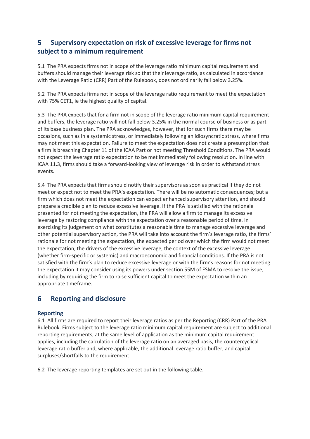#### <span id="page-10-0"></span>5. **Supervisory expectation on risk of excessive leverage for firms not subject to a minimum requirement**

5.1 The PRA expects firms not in scope of the leverage ratio minimum capital requirement and buffers should manage their leverage risk so that their leverage ratio, as calculated in accordance with the Leverage Ratio (CRR) Part of the Rulebook, does not ordinarily fall below 3.25%.

5.2 The PRA expects firms not in scope of the leverage ratio requirement to meet the expectation with 75% CET1, ie the highest quality of capital.

5.3 The PRA expects that for a firm not in scope of the leverage ratio minimum capital requirement and buffers, the leverage ratio will not fall below 3.25% in the normal course of business or as part of its base business plan. The PRA acknowledges, however, that for such firms there may be occasions, such as in a systemic stress, or immediately following an idiosyncratic stress, where firms may not meet this expectation. Failure to meet the expectation does not create a presumption that a firm is breaching Chapter 11 of the ICAA Part or not meeting Threshold Conditions. The PRA would not expect the leverage ratio expectation to be met immediately following resolution. In line with ICAA 11.3, firms should take a forward-looking view of leverage risk in order to withstand stress events.

5.4 The PRA expects that firms should notify their supervisors as soon as practical if they do not meet or expect not to meet the PRA's expectation. There will be no automatic consequences; but a firm which does not meet the expectation can expect enhanced supervisory attention, and should prepare a credible plan to reduce excessive leverage. If the PRA is satisfied with the rationale presented for not meeting the expectation, the PRA will allow a firm to manage its excessive leverage by restoring compliance with the expectation over a reasonable period of time. In exercising its judgement on what constitutes a reasonable time to manage excessive leverage and other potential supervisory action, the PRA will take into account the firm's leverage ratio, the firms' rationale for not meeting the expectation, the expected period over which the firm would not meet the expectation, the drivers of the excessive leverage, the context of the excessive leverage (whether firm-specific or systemic) and macroeconomic and financial conditions. If the PRA is not satisfied with the firm's plan to reduce excessive leverage or with the firm's reasons for not meeting the expectation it may consider using its powers under section 55M of FSMA to resolve the issue, including by requiring the firm to raise sufficient capital to meet the expectation within an appropriate timeframe.

#### <span id="page-10-1"></span>**Reporting and disclosure** 6

### **Reporting**

6.1 All firms are required to report their leverage ratios as per the Reporting (CRR) Part of the PRA Rulebook. Firms subject to the leverage ratio minimum capital requirement are subject to additional reporting requirements, at the same level of application as the minimum capital requirement applies, including the calculation of the leverage ratio on an averaged basis, the countercyclical leverage ratio buffer and, where applicable, the additional leverage ratio buffer, and capital surpluses/shortfalls to the requirement.

6.2 The leverage reporting templates are set out in the following table.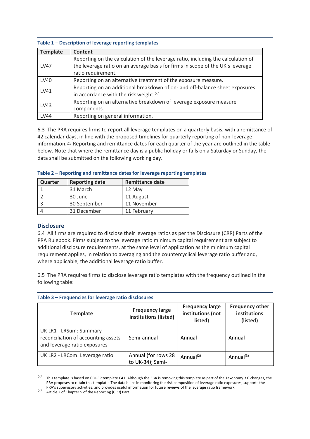#### **Table 1 – Description of leverage reporting templates**

| <b>Template</b> | Content                                                                                                                                                                                  |
|-----------------|------------------------------------------------------------------------------------------------------------------------------------------------------------------------------------------|
| <b>LV47</b>     | Reporting on the calculation of the leverage ratio, including the calculation of<br>the leverage ratio on an average basis for firms in scope of the UK's leverage<br>ratio requirement. |
| LV40            | Reporting on an alternative treatment of the exposure measure.                                                                                                                           |
| LV41            | Reporting on an additional breakdown of on- and off-balance sheet exposures<br>in accordance with the risk weight. <sup>22</sup>                                                         |
| LV43            | Reporting on an alternative breakdown of leverage exposure measure<br>components.                                                                                                        |
| LV44            | Reporting on general information.                                                                                                                                                        |

6.3 The PRA requires firms to report all leverage templates on a quarterly basis, with a remittance of 42 calendar days, in line with the proposed timelines for quarterly reporting of non-leverage information.23 Reporting and remittance dates for each quarter of the year are outlined in the table below. Note that where the remittance day is a public holiday or falls on a Saturday or Sunday, the data shall be submitted on the following working day.

| Table 2 – Reporting and remittance dates for leverage reporting templates |  |  |
|---------------------------------------------------------------------------|--|--|
|---------------------------------------------------------------------------|--|--|

| Quarter | <b>Reporting date</b> | <b>Remittance date</b> |
|---------|-----------------------|------------------------|
|         | 31 March              | 12 May                 |
|         | 30 June               | 11 August              |
|         | 30 September          | 11 November            |
|         | 31 December           | 11 February            |

## **Disclosure**

6.4 All firms are required to disclose their leverage ratios as per the Disclosure (CRR) Parts of the PRA Rulebook. Firms subject to the leverage ratio minimum capital requirement are subject to additional disclosure requirements, at the same level of application as the minimum capital requirement applies, in relation to averaging and the countercyclical leverage ratio buffer and, where applicable, the additional leverage ratio buffer.

6.5 The PRA requires firms to disclose leverage ratio templates with the frequency outlined in the following table:

| <b>Template</b>                                                                                | <b>Frequency large</b><br>institutions (listed) | <b>Frequency large</b><br>institutions (not<br>listed) | <b>Frequency other</b><br>institutions<br>(listed) |
|------------------------------------------------------------------------------------------------|-------------------------------------------------|--------------------------------------------------------|----------------------------------------------------|
| UK LR1 - LRSum: Summary<br>reconciliation of accounting assets<br>and leverage ratio exposures | Semi-annual                                     | Annual                                                 | Annual                                             |
| UK LR2 - LRCom: Leverage ratio                                                                 | Annual (for rows 28<br>to UK-34); Semi-         | Annual $(2)$                                           | Annual $^{(3)}$                                    |

#### **Table 3 – Frequencies for leverage ratio disclosures**

<sup>22</sup> This template is based on COREP template C41. Although the EBA is removing this template as part of the Taxonomy 3.0 changes, the PRA proposes to retain this template. The data helps in monitoring the risk composition of leverage ratio exposures, supports the PRA's supervisory activities, and provides useful information for future reviews of the leverage ratio framework.

<sup>23</sup> Article 2 of Chapter 5 of the Reporting (CRR) Part.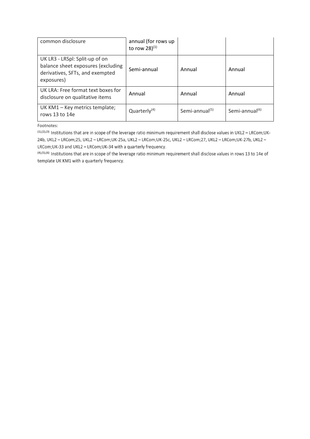| common disclosure                                                                                                     | annual (for rows up<br>to row 28 $)^{(1)}$ |                            |                            |
|-----------------------------------------------------------------------------------------------------------------------|--------------------------------------------|----------------------------|----------------------------|
| UK LR3 - LRSpl: Split-up of on<br>balance sheet exposures (excluding<br>derivatives, SFTs, and exempted<br>exposures) | Semi-annual                                | Annual                     | Annual                     |
| UK LRA: Free format text boxes for<br>disclosure on qualitative items                                                 | Annual                                     | Annual                     | Annual                     |
| UK KM1 - Key metrics template;<br>rows 13 to 14e                                                                      | Quarterly $(4)$                            | Semi-annual <sup>(5)</sup> | Semi-annual <sup>(6)</sup> |

Footnotes:

(1),(2),(3) Institutions that are in scope of the leverage ratio minimum requirement shall disclose values in UKL2 - LRCom;UK-24b, UKL2 - LRCom;25, UKL2 - LRCom;UK-25a, UKL2 - LRCom;UK-25c, UKL2 - LRCom;27, UKL2 - LRCom;UK-27b, UKL2 -LRCom;UK-33 and UKL2 - LRCom;UK-34 with a quarterly frequency.

(4),(5),(6) Institutions that are in scope of the leverage ratio minimum requirement shall disclose values in rows 13 to 14e of template UK KM1 with a quarterly frequency.